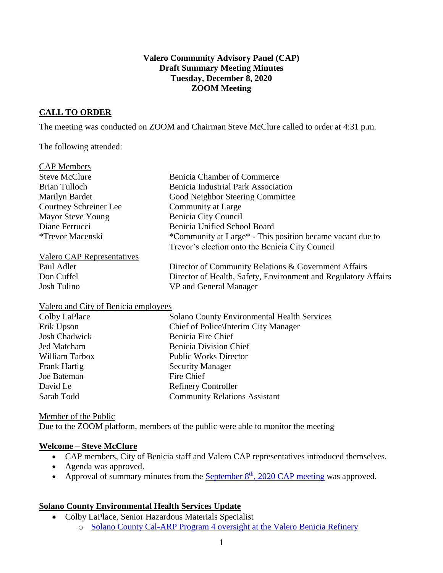### **Valero Community Advisory Panel (CAP) Draft Summary Meeting Minutes Tuesday, December 8, 2020 ZOOM Meeting**

## **CALL TO ORDER**

The meeting was conducted on ZOOM and Chairman Steve McClure called to order at 4:31 p.m.

The following attended:

| <b>CAP</b> Members                   |                                                                |
|--------------------------------------|----------------------------------------------------------------|
| <b>Steve McClure</b>                 | <b>Benicia Chamber of Commerce</b>                             |
| Brian Tulloch                        | <b>Benicia Industrial Park Association</b>                     |
| Marilyn Bardet                       | Good Neighbor Steering Committee                               |
| <b>Courtney Schreiner Lee</b>        | Community at Large                                             |
| <b>Mayor Steve Young</b>             | Benicia City Council                                           |
| Diane Ferrucci                       | Benicia Unified School Board                                   |
| <i>*Trevor Macenski</i>              | *Community at Large* - This position became vacant due to      |
|                                      | Trevor's election onto the Benicia City Council                |
| Valero CAP Representatives           |                                                                |
| Paul Adler                           | Director of Community Relations & Government Affairs           |
| Don Cuffel                           | Director of Health, Safety, Environment and Regulatory Affairs |
| Josh Tulino                          | VP and General Manager                                         |
| Valero and City of Benicia employees |                                                                |

| <b>Solano County Environmental Health Services</b> |
|----------------------------------------------------|
| Chief of Police Interim City Manager               |
| Benicia Fire Chief                                 |
| <b>Benicia Division Chief</b>                      |
| <b>Public Works Director</b>                       |
| <b>Security Manager</b>                            |
| Fire Chief                                         |
| <b>Refinery Controller</b>                         |
| <b>Community Relations Assistant</b>               |
|                                                    |

#### Member of the Public

Due to the ZOOM platform, members of the public were able to monitor the meeting

#### **Welcome – Steve McClure**

- CAP members, City of Benicia staff and Valero CAP representatives introduced themselves.
- Agenda was approved.
- Approval of summary minutes from the September  $8<sup>th</sup>$ [, 2020 CAP meeting](https://www.beniciacap.com/minutes) was approved.

## **Solano County Environmental Health Services Update**

- Colby LaPlace, Senior Hazardous Materials Specialist
	- o [Solano County Cal-ARP Program 4 oversight at the Valero Benicia Refinery](https://www.beniciacap.com/about)